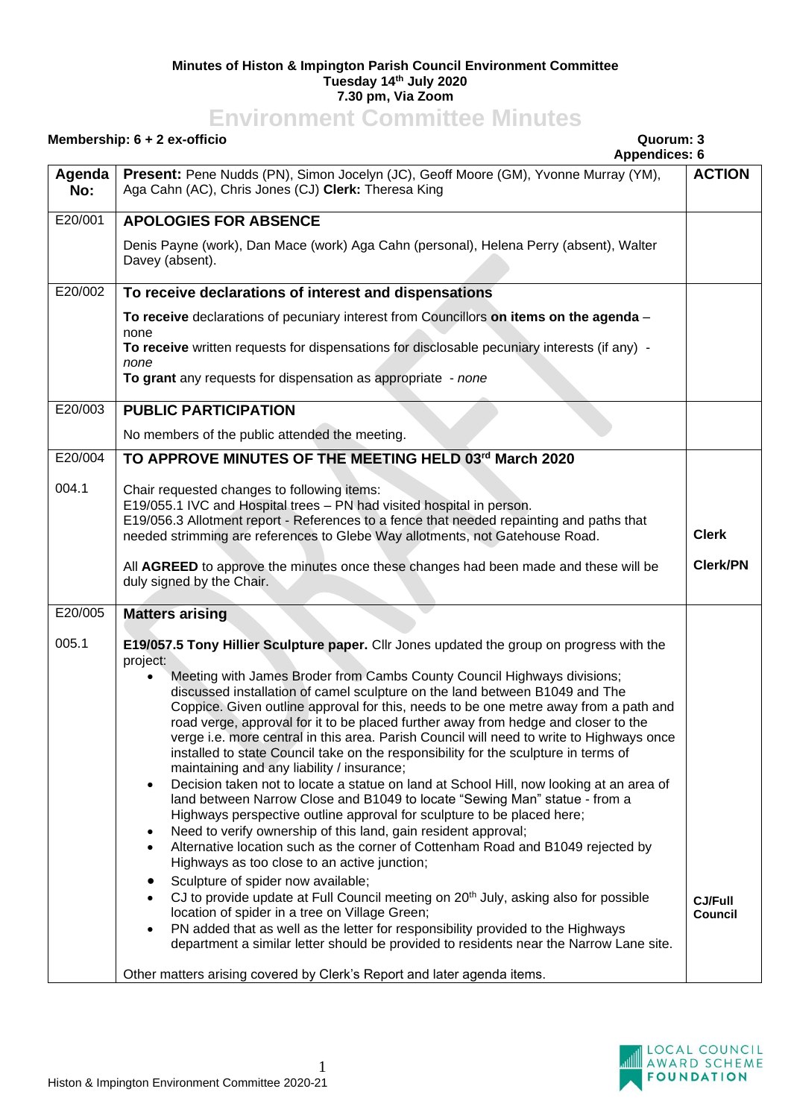## **Minutes of Histon & Impington Parish Council Environment Committee Tuesday 14th July 2020 7.30 pm, Via Zoom**

## **Environment Committee Minutes**

| Membership: $6 + 2$ ex-officio<br>Quorum: 3                                                                                                                                                                                                                                                                                                                                                                                                                                                                                                                                                                                                                                                                                                                                                                                                                                                                                                                                                                                                                                                                                                                                                                                                                                                                                                                                                                                                                                                                                                           |                                                                                                                                                                                  |
|-------------------------------------------------------------------------------------------------------------------------------------------------------------------------------------------------------------------------------------------------------------------------------------------------------------------------------------------------------------------------------------------------------------------------------------------------------------------------------------------------------------------------------------------------------------------------------------------------------------------------------------------------------------------------------------------------------------------------------------------------------------------------------------------------------------------------------------------------------------------------------------------------------------------------------------------------------------------------------------------------------------------------------------------------------------------------------------------------------------------------------------------------------------------------------------------------------------------------------------------------------------------------------------------------------------------------------------------------------------------------------------------------------------------------------------------------------------------------------------------------------------------------------------------------------|----------------------------------------------------------------------------------------------------------------------------------------------------------------------------------|
| Present: Pene Nudds (PN), Simon Jocelyn (JC), Geoff Moore (GM), Yvonne Murray (YM),<br>Aga Cahn (AC), Chris Jones (CJ) Clerk: Theresa King                                                                                                                                                                                                                                                                                                                                                                                                                                                                                                                                                                                                                                                                                                                                                                                                                                                                                                                                                                                                                                                                                                                                                                                                                                                                                                                                                                                                            | <b>ACTION</b>                                                                                                                                                                    |
| <b>APOLOGIES FOR ABSENCE</b>                                                                                                                                                                                                                                                                                                                                                                                                                                                                                                                                                                                                                                                                                                                                                                                                                                                                                                                                                                                                                                                                                                                                                                                                                                                                                                                                                                                                                                                                                                                          |                                                                                                                                                                                  |
| Denis Payne (work), Dan Mace (work) Aga Cahn (personal), Helena Perry (absent), Walter<br>Davey (absent).                                                                                                                                                                                                                                                                                                                                                                                                                                                                                                                                                                                                                                                                                                                                                                                                                                                                                                                                                                                                                                                                                                                                                                                                                                                                                                                                                                                                                                             |                                                                                                                                                                                  |
| To receive declarations of interest and dispensations                                                                                                                                                                                                                                                                                                                                                                                                                                                                                                                                                                                                                                                                                                                                                                                                                                                                                                                                                                                                                                                                                                                                                                                                                                                                                                                                                                                                                                                                                                 |                                                                                                                                                                                  |
| To receive declarations of pecuniary interest from Councillors on items on the agenda -                                                                                                                                                                                                                                                                                                                                                                                                                                                                                                                                                                                                                                                                                                                                                                                                                                                                                                                                                                                                                                                                                                                                                                                                                                                                                                                                                                                                                                                               |                                                                                                                                                                                  |
| To receive written requests for dispensations for disclosable pecuniary interests (if any) -<br>none                                                                                                                                                                                                                                                                                                                                                                                                                                                                                                                                                                                                                                                                                                                                                                                                                                                                                                                                                                                                                                                                                                                                                                                                                                                                                                                                                                                                                                                  |                                                                                                                                                                                  |
| To grant any requests for dispensation as appropriate - none                                                                                                                                                                                                                                                                                                                                                                                                                                                                                                                                                                                                                                                                                                                                                                                                                                                                                                                                                                                                                                                                                                                                                                                                                                                                                                                                                                                                                                                                                          |                                                                                                                                                                                  |
| <b>PUBLIC PARTICIPATION</b>                                                                                                                                                                                                                                                                                                                                                                                                                                                                                                                                                                                                                                                                                                                                                                                                                                                                                                                                                                                                                                                                                                                                                                                                                                                                                                                                                                                                                                                                                                                           |                                                                                                                                                                                  |
| No members of the public attended the meeting.                                                                                                                                                                                                                                                                                                                                                                                                                                                                                                                                                                                                                                                                                                                                                                                                                                                                                                                                                                                                                                                                                                                                                                                                                                                                                                                                                                                                                                                                                                        |                                                                                                                                                                                  |
| TO APPROVE MINUTES OF THE MEETING HELD 03rd March 2020                                                                                                                                                                                                                                                                                                                                                                                                                                                                                                                                                                                                                                                                                                                                                                                                                                                                                                                                                                                                                                                                                                                                                                                                                                                                                                                                                                                                                                                                                                |                                                                                                                                                                                  |
| Chair requested changes to following items:                                                                                                                                                                                                                                                                                                                                                                                                                                                                                                                                                                                                                                                                                                                                                                                                                                                                                                                                                                                                                                                                                                                                                                                                                                                                                                                                                                                                                                                                                                           |                                                                                                                                                                                  |
| E19/056.3 Allotment report - References to a fence that needed repainting and paths that                                                                                                                                                                                                                                                                                                                                                                                                                                                                                                                                                                                                                                                                                                                                                                                                                                                                                                                                                                                                                                                                                                                                                                                                                                                                                                                                                                                                                                                              |                                                                                                                                                                                  |
| needed strimming are references to Glebe Way allotments, not Gatehouse Road.                                                                                                                                                                                                                                                                                                                                                                                                                                                                                                                                                                                                                                                                                                                                                                                                                                                                                                                                                                                                                                                                                                                                                                                                                                                                                                                                                                                                                                                                          | <b>Clerk</b>                                                                                                                                                                     |
| All AGREED to approve the minutes once these changes had been made and these will be<br>duly signed by the Chair.                                                                                                                                                                                                                                                                                                                                                                                                                                                                                                                                                                                                                                                                                                                                                                                                                                                                                                                                                                                                                                                                                                                                                                                                                                                                                                                                                                                                                                     | <b>Clerk/PN</b>                                                                                                                                                                  |
| <b>Matters arising</b>                                                                                                                                                                                                                                                                                                                                                                                                                                                                                                                                                                                                                                                                                                                                                                                                                                                                                                                                                                                                                                                                                                                                                                                                                                                                                                                                                                                                                                                                                                                                |                                                                                                                                                                                  |
| E19/057.5 Tony Hillier Sculpture paper. Cllr Jones updated the group on progress with the<br>project:<br>Meeting with James Broder from Cambs County Council Highways divisions;<br>discussed installation of camel sculpture on the land between B1049 and The<br>Coppice. Given outline approval for this, needs to be one metre away from a path and<br>road verge, approval for it to be placed further away from hedge and closer to the<br>verge i.e. more central in this area. Parish Council will need to write to Highways once<br>installed to state Council take on the responsibility for the sculpture in terms of<br>maintaining and any liability / insurance;<br>Decision taken not to locate a statue on land at School Hill, now looking at an area of<br>$\bullet$<br>land between Narrow Close and B1049 to locate "Sewing Man" statue - from a<br>Highways perspective outline approval for sculpture to be placed here;<br>Need to verify ownership of this land, gain resident approval;<br>$\bullet$<br>Alternative location such as the corner of Cottenham Road and B1049 rejected by<br>$\bullet$<br>Highways as too close to an active junction;<br>Sculpture of spider now available;<br>CJ to provide update at Full Council meeting on 20 <sup>th</sup> July, asking also for possible<br>location of spider in a tree on Village Green;<br>PN added that as well as the letter for responsibility provided to the Highways<br>department a similar letter should be provided to residents near the Narrow Lane site. | <b>CJ/Full</b><br>Council                                                                                                                                                        |
|                                                                                                                                                                                                                                                                                                                                                                                                                                                                                                                                                                                                                                                                                                                                                                                                                                                                                                                                                                                                                                                                                                                                                                                                                                                                                                                                                                                                                                                                                                                                                       | <b>Appendices: 6</b><br>none<br>E19/055.1 IVC and Hospital trees - PN had visited hospital in person.<br>Other matters arising covered by Clerk's Report and later agenda items. |

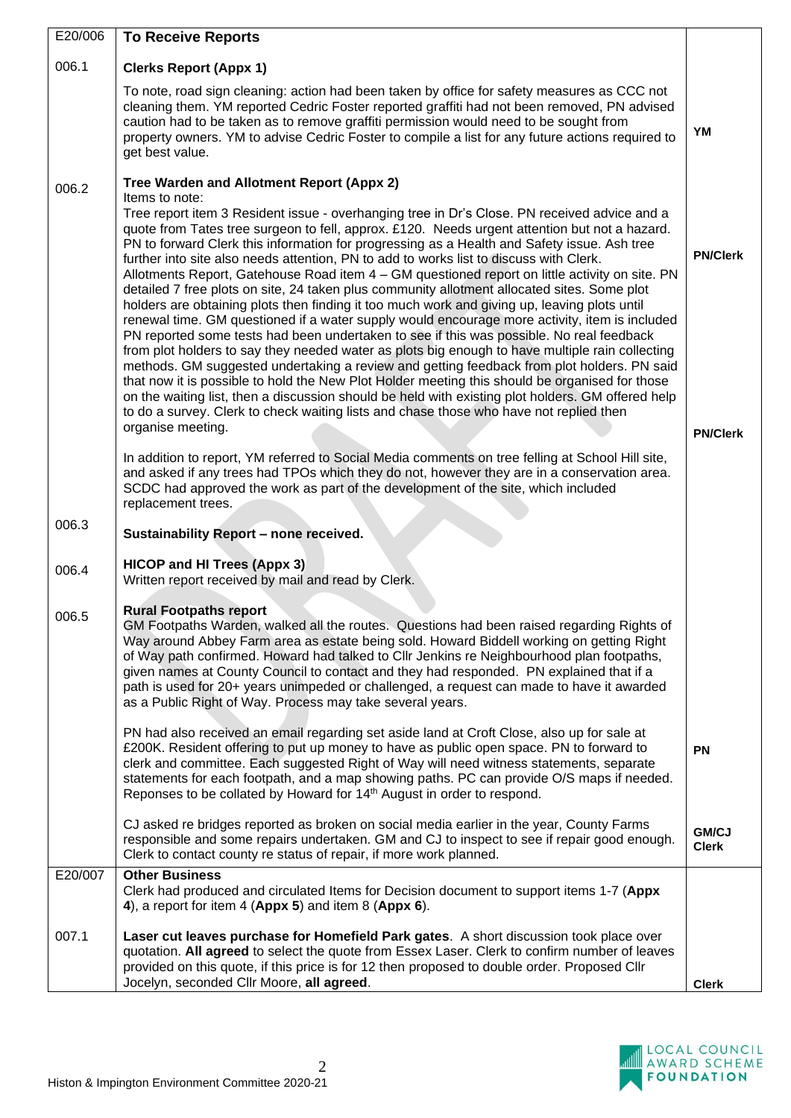| E20/006 | <b>To Receive Reports</b>                                                                                                                                                                                                                                                                                                                                                                                                                                                                                                                                                                                                                                                                                                                                                                                                                                                                                                                                                                                                                                                                                                                                                                                                                                                                                                                                                                                |                              |
|---------|----------------------------------------------------------------------------------------------------------------------------------------------------------------------------------------------------------------------------------------------------------------------------------------------------------------------------------------------------------------------------------------------------------------------------------------------------------------------------------------------------------------------------------------------------------------------------------------------------------------------------------------------------------------------------------------------------------------------------------------------------------------------------------------------------------------------------------------------------------------------------------------------------------------------------------------------------------------------------------------------------------------------------------------------------------------------------------------------------------------------------------------------------------------------------------------------------------------------------------------------------------------------------------------------------------------------------------------------------------------------------------------------------------|------------------------------|
| 006.1   | <b>Clerks Report (Appx 1)</b>                                                                                                                                                                                                                                                                                                                                                                                                                                                                                                                                                                                                                                                                                                                                                                                                                                                                                                                                                                                                                                                                                                                                                                                                                                                                                                                                                                            |                              |
|         | To note, road sign cleaning: action had been taken by office for safety measures as CCC not<br>cleaning them. YM reported Cedric Foster reported graffiti had not been removed, PN advised<br>caution had to be taken as to remove graffiti permission would need to be sought from<br>property owners. YM to advise Cedric Foster to compile a list for any future actions required to<br>get best value.                                                                                                                                                                                                                                                                                                                                                                                                                                                                                                                                                                                                                                                                                                                                                                                                                                                                                                                                                                                               | YM                           |
| 006.2   | Tree Warden and Allotment Report (Appx 2)                                                                                                                                                                                                                                                                                                                                                                                                                                                                                                                                                                                                                                                                                                                                                                                                                                                                                                                                                                                                                                                                                                                                                                                                                                                                                                                                                                |                              |
|         | Items to note:<br>Tree report item 3 Resident issue - overhanging tree in Dr's Close. PN received advice and a<br>quote from Tates tree surgeon to fell, approx. £120. Needs urgent attention but not a hazard.<br>PN to forward Clerk this information for progressing as a Health and Safety issue. Ash tree<br>further into site also needs attention, PN to add to works list to discuss with Clerk.<br>Allotments Report, Gatehouse Road item 4 - GM questioned report on little activity on site. PN<br>detailed 7 free plots on site, 24 taken plus community allotment allocated sites. Some plot<br>holders are obtaining plots then finding it too much work and giving up, leaving plots until<br>renewal time. GM questioned if a water supply would encourage more activity, item is included<br>PN reported some tests had been undertaken to see if this was possible. No real feedback<br>from plot holders to say they needed water as plots big enough to have multiple rain collecting<br>methods. GM suggested undertaking a review and getting feedback from plot holders. PN said<br>that now it is possible to hold the New Plot Holder meeting this should be organised for those<br>on the waiting list, then a discussion should be held with existing plot holders. GM offered help<br>to do a survey. Clerk to check waiting lists and chase those who have not replied then | <b>PN/Clerk</b>              |
|         | organise meeting.                                                                                                                                                                                                                                                                                                                                                                                                                                                                                                                                                                                                                                                                                                                                                                                                                                                                                                                                                                                                                                                                                                                                                                                                                                                                                                                                                                                        | <b>PN/Clerk</b>              |
|         | In addition to report, YM referred to Social Media comments on tree felling at School Hill site,<br>and asked if any trees had TPOs which they do not, however they are in a conservation area.<br>SCDC had approved the work as part of the development of the site, which included<br>replacement trees.                                                                                                                                                                                                                                                                                                                                                                                                                                                                                                                                                                                                                                                                                                                                                                                                                                                                                                                                                                                                                                                                                               |                              |
| 006.3   | Sustainability Report - none received.                                                                                                                                                                                                                                                                                                                                                                                                                                                                                                                                                                                                                                                                                                                                                                                                                                                                                                                                                                                                                                                                                                                                                                                                                                                                                                                                                                   |                              |
| 006.4   | <b>HICOP and HI Trees (Appx 3)</b><br>Written report received by mail and read by Clerk.                                                                                                                                                                                                                                                                                                                                                                                                                                                                                                                                                                                                                                                                                                                                                                                                                                                                                                                                                                                                                                                                                                                                                                                                                                                                                                                 |                              |
| 006.5   | <b>Rural Footpaths report</b><br>GM Footpaths Warden, walked all the routes. Questions had been raised regarding Rights of<br>Way around Abbey Farm area as estate being sold. Howard Biddell working on getting Right<br>of Way path confirmed. Howard had talked to Cllr Jenkins re Neighbourhood plan footpaths,<br>given names at County Council to contact and they had responded. PN explained that if a<br>path is used for 20+ years unimpeded or challenged, a request can made to have it awarded<br>as a Public Right of Way. Process may take several years.                                                                                                                                                                                                                                                                                                                                                                                                                                                                                                                                                                                                                                                                                                                                                                                                                                 |                              |
|         | PN had also received an email regarding set aside land at Croft Close, also up for sale at<br>£200K. Resident offering to put up money to have as public open space. PN to forward to<br>clerk and committee. Each suggested Right of Way will need witness statements, separate<br>statements for each footpath, and a map showing paths. PC can provide O/S maps if needed.<br>Reponses to be collated by Howard for 14 <sup>th</sup> August in order to respond.                                                                                                                                                                                                                                                                                                                                                                                                                                                                                                                                                                                                                                                                                                                                                                                                                                                                                                                                      | <b>PN</b>                    |
|         | CJ asked re bridges reported as broken on social media earlier in the year, County Farms<br>responsible and some repairs undertaken. GM and CJ to inspect to see if repair good enough.<br>Clerk to contact county re status of repair, if more work planned.                                                                                                                                                                                                                                                                                                                                                                                                                                                                                                                                                                                                                                                                                                                                                                                                                                                                                                                                                                                                                                                                                                                                            | <b>GM/CJ</b><br><b>Clerk</b> |
| E20/007 | <b>Other Business</b><br>Clerk had produced and circulated Items for Decision document to support items 1-7 (Appx<br>4), a report for item $4$ (Appx 5) and item $8$ (Appx 6).                                                                                                                                                                                                                                                                                                                                                                                                                                                                                                                                                                                                                                                                                                                                                                                                                                                                                                                                                                                                                                                                                                                                                                                                                           |                              |
| 007.1   | Laser cut leaves purchase for Homefield Park gates. A short discussion took place over<br>quotation. All agreed to select the quote from Essex Laser. Clerk to confirm number of leaves<br>provided on this quote, if this price is for 12 then proposed to double order. Proposed Cllr<br>Jocelyn, seconded Cllr Moore, all agreed.                                                                                                                                                                                                                                                                                                                                                                                                                                                                                                                                                                                                                                                                                                                                                                                                                                                                                                                                                                                                                                                                     | <b>Clerk</b>                 |